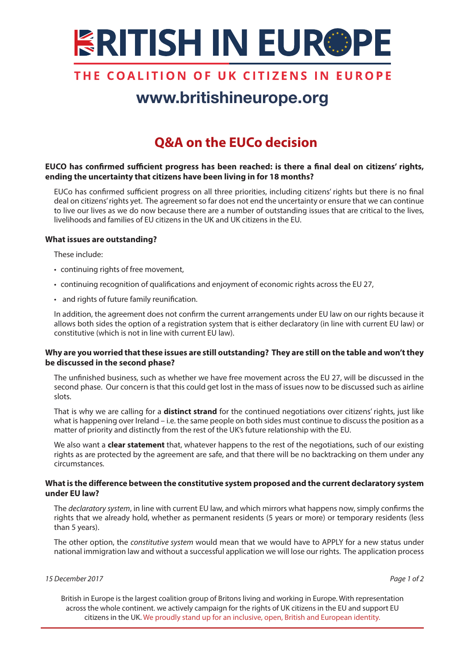

### THE COALITION OF UK CITIZENS IN EUROPE

# www.britishineurope.org

## **Q&A on the EUCo decision**

#### **EUCO has confirmed sufficient progress has been reached: is there a final deal on citizens' rights, ending the uncertainty that citizens have been living in for 18 months?**

EUCo has confirmed sufficient progress on all three priorities, including citizens' rights but there is no final deal on citizens' rights yet. The agreement so far does not end the uncertainty or ensure that we can continue to live our lives as we do now because there are a number of outstanding issues that are critical to the lives, livelihoods and families of EU citizens in the UK and UK citizens in the EU.

#### **What issues are outstanding?**

These include:

- • continuing rights of free movement,
- • continuing recognition of qualifications and enjoyment of economic rights across the EU 27,
- • and rights of future family reunification.

In addition, the agreement does not confirm the current arrangements under EU law on our rights because it allows both sides the option of a registration system that is either declaratory (in line with current EU law) or constitutive (which is not in line with current EU law).

#### **Why are you worried that these issues are still outstanding? They are still on the table and won't they be discussed in the second phase?**

The unfinished business, such as whether we have free movement across the EU 27, will be discussed in the second phase. Our concern is that this could get lost in the mass of issues now to be discussed such as airline slots.

That is why we are calling for a **distinct strand** for the continued negotiations over citizens' rights, just like what is happening over Ireland – i.e. the same people on both sides must continue to discuss the position as a matter of priority and distinctly from the rest of the UK's future relationship with the EU.

We also want a **clear statement** that, whatever happens to the rest of the negotiations, such of our existing rights as are protected by the agreement are safe, and that there will be no backtracking on them under any circumstances.

#### **What is the difference between the constitutive system proposed and the current declaratory system under EU law?**

The *declaratory system*, in line with current EU law, and which mirrors what happens now, simply confirms the rights that we already hold, whether as permanent residents (5 years or more) or temporary residents (less than 5 years).

The other option, the *constitutive system* would mean that we would have to APPLY for a new status under national immigration law and without a successful application we will lose our rights. The application process

#### *15 December 2017 Page 1 of 2*

British in Europe is the largest coalition group of Britons living and working in Europe. With representation across the whole continent. we actively campaign for the rights of UK citizens in the EU and support EU citizens in the UK. We proudly stand up for an inclusive, open, British and European identity.